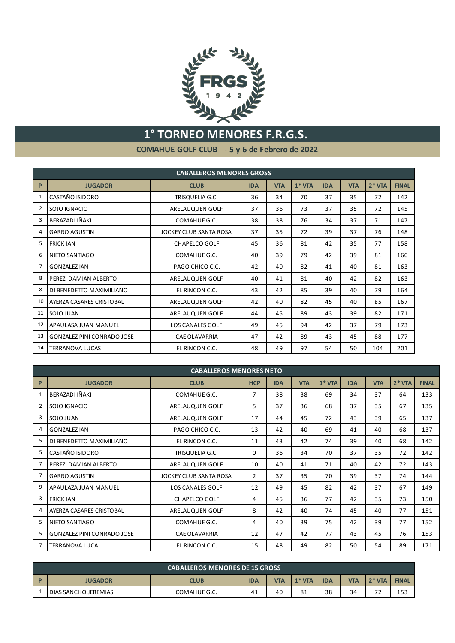

## **1° TORNEO MENORES F.R.G.S.**

**COMAHUE GOLF CLUB - 5 y 6 de Febrero de 2022**

|                |                                                                                      | <b>CABALLEROS MENORES GROSS</b> |            |            |         |            |            |         |              |
|----------------|--------------------------------------------------------------------------------------|---------------------------------|------------|------------|---------|------------|------------|---------|--------------|
| P              | <b>JUGADOR</b>                                                                       | <b>CLUB</b>                     | <b>IDA</b> | <b>VTA</b> | $1*VTA$ | <b>IDA</b> | <b>VTA</b> | $2*VTA$ | <b>FINAL</b> |
| $\mathbf{1}$   | CASTAÑO ISIDORO                                                                      | TRISQUELIA G.C.                 | 36         | 34         | 70      | 37         | 35         | 72      | 142          |
| 2              | SOJO IGNACIO                                                                         | ARELAUQUEN GOLF                 | 37         | 36         | 73      | 37         | 35         | 72      | 145          |
| 3              | BERAZADI IÑAKI                                                                       | COMAHUE G.C.                    | 38         | 38         | 76      | 34         | 37         | 71      | 147          |
| 4              | <b>GARRO AGUSTIN</b>                                                                 | JOCKEY CLUB SANTA ROSA          | 37         | 35         | 72      | 39         | 37         | 76      | 148          |
| 5              | <b>FRICK IAN</b>                                                                     | <b>CHAPELCO GOLF</b>            | 45         | 36         | 81      | 42         | 35         | 77      | 158          |
| 6              | NIETO SANTIAGO                                                                       | COMAHUE G.C.                    | 40         | 39         | 79      | 42         | 39         | 81      | 160          |
| $\overline{7}$ | <b>GONZALEZ IAN</b>                                                                  | PAGO CHICO C.C.                 | 42         | 40         | 82      | 41         | 40         | 81      | 163          |
| 8              | PEREZ DAMIAN ALBERTO                                                                 | ARELAUQUEN GOLF                 | 40         | 41         | 81      | 40         | 42         | 82      | 163          |
| 8              | DI BENEDETTO MAXIMILIANO                                                             | EL RINCON C.C.                  | 43         | 42         | 85      | 39         | 40         | 79      | 164          |
| 10             | <b>AYERZA CASARES CRISTOBAL</b>                                                      | ARELAUOUEN GOLF                 | 42         | 40         | 82      | 45         | 40         | 85      | 167          |
| 11             | SOJO JUAN                                                                            | ARELAUQUEN GOLF                 | 44         | 45         | 89      | 43         | 39         | 82      | 171          |
| 12             | APAULASA JUAN MANUEL                                                                 | <b>LOS CANALES GOLF</b>         | 49         | 45         | 94      | 42         | 37         | 79      | 173          |
| 13             | <b>GONZALEZ PINI CONRADO JOSE</b>                                                    | <b>CAE OLAVARRIA</b>            | 47         | 42         | 89      | 43         | 45         | 88      | 177          |
| 14             | 48<br>97<br>201<br><b>TERRANOVA LUCAS</b><br>EL RINCON C.C.<br>49<br>54<br>50<br>104 |                                 |            |            |         |            |            |         |              |

|                | <b>CABALLEROS MENORES NETO</b>    |                         |                |            |            |         |            |            |         |              |
|----------------|-----------------------------------|-------------------------|----------------|------------|------------|---------|------------|------------|---------|--------------|
| P              | <b>JUGADOR</b>                    | <b>CLUB</b>             | <b>HCP</b>     | <b>IDA</b> | <b>VTA</b> | $1*VTA$ | <b>IDA</b> | <b>VTA</b> | $2*VTA$ | <b>FINAL</b> |
| $\mathbf{1}$   | BERAZADI IÑAKI                    | COMAHUE G.C.            | 7              | 38         | 38         | 69      | 34         | 37         | 64      | 133          |
| 2              | SOJO IGNACIO                      | ARELAUQUEN GOLF         | 5              | 37         | 36         | 68      | 37         | 35         | 67      | 135          |
| 3              | SOJO JUAN                         | ARELAUQUEN GOLF         | 17             | 44         | 45         | 72      | 43         | 39         | 65      | 137          |
| 4              | <b>GONZALEZ IAN</b>               | PAGO CHICO C.C.         | 13             | 42         | 40         | 69      | 41         | 40         | 68      | 137          |
| 5              | DI BENEDETTO MAXIMILIANO          | EL RINCON C.C.          | 11             | 43         | 42         | 74      | 39         | 40         | 68      | 142          |
| 5              | CASTAÑO ISIDORO                   | TRISQUELIA G.C.         | 0              | 36         | 34         | 70      | 37         | 35         | 72      | 142          |
| $\overline{7}$ | PEREZ DAMIAN ALBERTO              | ARELAUQUEN GOLF         | 10             | 40         | 41         | 71      | 40         | 42         | 72      | 143          |
| 7              | <b>GARRO AGUSTIN</b>              | JOCKEY CLUB SANTA ROSA  | $\overline{2}$ | 37         | 35         | 70      | 39         | 37         | 74      | 144          |
| 9              | APAULAZA JUAN MANUEL              | <b>LOS CANALES GOLF</b> | 12             | 49         | 45         | 82      | 42         | 37         | 67      | 149          |
| 3              | <b>FRICK IAN</b>                  | <b>CHAPELCO GOLF</b>    | 4              | 45         | 36         | 77      | 42         | 35         | 73      | 150          |
| 4              | <b>AYERZA CASARES CRISTOBAL</b>   | ARELAUQUEN GOLF         | 8              | 42         | 40         | 74      | 45         | 40         | 77      | 151          |
| 5              | NIETO SANTIAGO                    | COMAHUE G.C.            | 4              | 40         | 39         | 75      | 42         | 39         | 77      | 152          |
| 5              | <b>GONZALEZ PINI CONRADO JOSE</b> | <b>CAE OLAVARRIA</b>    | 12             | 47         | 42         | 77      | 43         | 45         | 76      | 153          |
| 7              | <b>TERRANOVA LUCA</b>             | EL RINCON C.C.          | 15             | 48         | 49         | 82      | 50         | 54         | 89      | 171          |

| <b>CABALLEROS MENORES DE 15 GROSS</b>                                                                                       |              |    |    |    |    |    |           |     |  |
|-----------------------------------------------------------------------------------------------------------------------------|--------------|----|----|----|----|----|-----------|-----|--|
| $1*VTA$<br>$2*VTA$<br><b>IDA</b><br><b>VTA</b><br><b>VTA</b><br><b>FINAL</b><br><b>JUGADOR</b><br><b>CLUB</b><br><b>IDA</b> |              |    |    |    |    |    |           |     |  |
| <b>DIAS SANCHO JEREMIAS</b>                                                                                                 | COMAHUE G.C. | 41 | 40 | 81 | 38 | 34 | $-1$<br>- | 153 |  |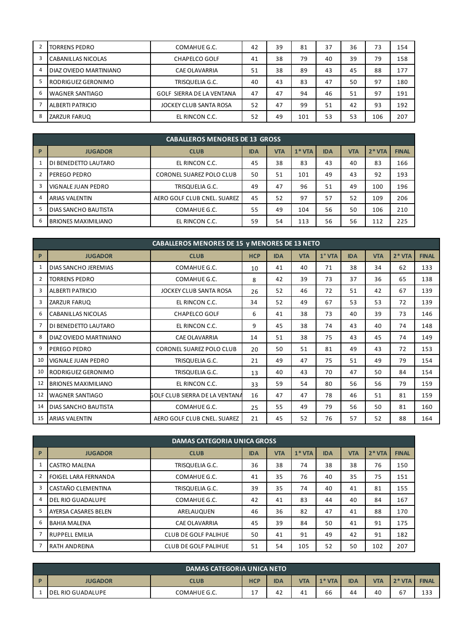| 2 | <b>TORRENS PEDRO</b>    | COMAHUE G.C.              | 42 | 39 | 81  | 37 | 36 | 73  | 154 |
|---|-------------------------|---------------------------|----|----|-----|----|----|-----|-----|
| 3 | CABANILLAS NICOLAS      | <b>CHAPELCO GOLF</b>      | 41 | 38 | 79  | 40 | 39 | 79  | 158 |
| 4 | DIAZ OVIEDO MARTINIANO  | <b>CAE OLAVARRIA</b>      | 51 | 38 | 89  | 43 | 45 | 88  | 177 |
| 5 | RODRIGUEZ GERONIMO      | TRISQUELIA G.C.           | 40 | 43 | 83  | 47 | 50 | 97  | 180 |
| 6 | <b>WAGNER SANTIAGO</b>  | GOLF SIERRA DE LA VENTANA | 47 | 47 | 94  | 46 | 51 | 97  | 191 |
|   | <b>ALBERTI PATRICIO</b> | JOCKEY CLUB SANTA ROSA    | 52 | 47 | 99  | 51 | 42 | 93  | 192 |
| 8 | ZARZUR FARUQ            | EL RINCON C.C.            | 52 | 49 | 101 | 53 | 53 | 106 | 207 |

|              | <b>CABALLEROS MENORES DE 13 GROSS</b> |                             |            |            |         |            |            |         |              |  |  |
|--------------|---------------------------------------|-----------------------------|------------|------------|---------|------------|------------|---------|--------------|--|--|
| $\mathbf{P}$ | <b>JUGADOR</b>                        | <b>CLUB</b>                 | <b>IDA</b> | <b>VTA</b> | $1*VTA$ | <b>IDA</b> | <b>VTA</b> | $2*VTA$ | <b>FINAL</b> |  |  |
|              | DI BENEDETTO LAUTARO                  | EL RINCON C.C.              | 45         | 38         | 83      | 43         | 40         | 83      | 166          |  |  |
|              | PEREGO PEDRO                          | CORONEL SUAREZ POLO CLUB    | 50         | 51         | 101     | 49         | 43         | 92      | 193          |  |  |
|              | VIGNALE JUAN PEDRO                    | TRISQUELIA G.C.             | 49         | 47         | 96      | 51         | 49         | 100     | 196          |  |  |
| 4            | <b>ARIAS VALENTIN</b>                 | AERO GOLF CLUB CNEL. SUAREZ | 45         | 52         | 97      | 57         | 52         | 109     | 206          |  |  |
| 5            | DIAS SANCHO BAUTISTA                  | COMAHUE G.C.                | 55         | 49         | 104     | 56         | 50         | 106     | 210          |  |  |
| b            | <b>BRIONES MAXIMILIANO</b>            | EL RINCON C.C.              | 59         | 54         | 113     | 56         | 56         | 112     | 225          |  |  |

|                | <b>CABALLEROS MENORES DE 15 y MENORES DE 13 NETO</b> |                                |            |            |            |          |            |            |         |              |
|----------------|------------------------------------------------------|--------------------------------|------------|------------|------------|----------|------------|------------|---------|--------------|
| P              | <b>JUGADOR</b>                                       | <b>CLUB</b>                    | <b>HCP</b> | <b>IDA</b> | <b>VTA</b> | $1°$ VTA | <b>IDA</b> | <b>VTA</b> | $2*VTA$ | <b>FINAL</b> |
| 1              | DIAS SANCHO JEREMIAS                                 | COMAHUE G.C.                   | 10         | 41         | 40         | 71       | 38         | 34         | 62      | 133          |
| 2              | <b>TORRENS PEDRO</b>                                 | COMAHUE G.C.                   | 8          | 42         | 39         | 73       | 37         | 36         | 65      | 138          |
| 3              | <b>ALBERTI PATRICIO</b>                              | JOCKEY CLUB SANTA ROSA         | 26         | 52         | 46         | 72       | 51         | 42         | 67      | 139          |
| 3              | ZARZUR FARUQ                                         | EL RINCON C.C.                 | 34         | 52         | 49         | 67       | 53         | 53         | 72      | 139          |
| 6              | <b>CABANILLAS NICOLAS</b>                            | <b>CHAPELCO GOLF</b>           | 6          | 41         | 38         | 73       | 40         | 39         | 73      | 146          |
| $\overline{7}$ | DI BENEDETTO LAUTARO                                 | EL RINCON C.C.                 | 9          | 45         | 38         | 74       | 43         | 40         | 74      | 148          |
| 8              | DIAZ OVIEDO MARTINIANO                               | <b>CAE OLAVARRIA</b>           | 14         | 51         | 38         | 75       | 43         | 45         | 74      | 149          |
| 9              | <b>PEREGO PEDRO</b>                                  | CORONEL SUAREZ POLO CLUB       | 20         | 50         | 51         | 81       | 49         | 43         | 72      | 153          |
| 10             | VIGNALE JUAN PEDRO                                   | TRISQUELIA G.C.                | 21         | 49         | 47         | 75       | 51         | 49         | 79      | 154          |
| 10             | RODRIGUEZ GERONIMO                                   | TRISQUELIA G.C.                | 13         | 40         | 43         | 70       | 47         | 50         | 84      | 154          |
| 12             | <b>BRIONES MAXIMILIANO</b>                           | EL RINCON C.C.                 | 33         | 59         | 54         | 80       | 56         | 56         | 79      | 159          |
| 12             | <b>WAGNER SANTIAGO</b>                               | GOLF CLUB SIERRA DE LA VENTANA | 16         | 47         | 47         | 78       | 46         | 51         | 81      | 159          |
| 14             | DIAS SANCHO BAUTISTA                                 | COMAHUE G.C.                   | 25         | 55         | 49         | 79       | 56         | 50         | 81      | 160          |
| 15             | <b>ARIAS VALENTIN</b>                                | AERO GOLF CLUB CNEL. SUAREZ    | 21         | 45         | 52         | 76       | 57         | 52         | 88      | 164          |

|              | <b>DAMAS CATEGORIA UNICA GROSS</b> |                             |            |            |         |            |            |         |              |  |  |
|--------------|------------------------------------|-----------------------------|------------|------------|---------|------------|------------|---------|--------------|--|--|
| $\mathbf{P}$ | <b>JUGADOR</b>                     | <b>CLUB</b>                 | <b>IDA</b> | <b>VTA</b> | $1*VTA$ | <b>IDA</b> | <b>VTA</b> | $2*VTA$ | <b>FINAL</b> |  |  |
|              | CASTRO MALENA                      | TRISQUELIA G.C.             | 36         | 38         | 74      | 38         | 38         | 76      | 150          |  |  |
|              | <b>FOIGEL LARA FERNANDA</b>        | COMAHUE G.C.                | 41         | 35         | 76      | 40         | 35         | 75      | 151          |  |  |
| 3            | CASTAÑO CLEMENTINA                 | TRISQUELIA G.C.             | 39         | 35         | 74      | 40         | 41         | 81      | 155          |  |  |
| 4            | <b>DEL RIO GUADALUPE</b>           | COMAHUE G.C.                | 42         | 41         | 83      | 44         | 40         | 84      | 167          |  |  |
| 5            | AYERSA CASARES BELEN               | ARELAUQUEN                  | 46         | 36         | 82      | 47         | 41         | 88      | 170          |  |  |
| 6            | <b>BAHIA MALENA</b>                | CAE OLAVARRIA               | 45         | 39         | 84      | 50         | 41         | 91      | 175          |  |  |
|              | <b>RUPPELL EMILIA</b>              | <b>CLUB DE GOLF PALIHUE</b> | 50         | 41         | 91      | 49         | 42         | 91      | 182          |  |  |
|              | <b>RATH ANDREINA</b>               | CLUB DE GOLF PALIHUE        | 51         | 54         | 105     | 52         | 50         | 102     | 207          |  |  |

|                                                                                                                                    | DAMAS CATEGORIA UNICA NETO                                                                                                                |  |  |  |  |  |           |  |  |  |
|------------------------------------------------------------------------------------------------------------------------------------|-------------------------------------------------------------------------------------------------------------------------------------------|--|--|--|--|--|-----------|--|--|--|
|                                                                                                                                    | $2*VTA$<br>$1*VTA$<br><b>VTA</b><br><b>IDA</b><br><b>HCP</b><br><b>VTA</b><br><b>FINAL</b><br><b>IDA</b><br><b>JUGADOR</b><br><b>CLUB</b> |  |  |  |  |  |           |  |  |  |
| $\overline{\phantom{0}}$<br>66<br>67<br>40<br>11<br>COMAHUE G.C.<br>42<br><b>IDEL RIO GUADALUPE</b><br>44<br>4 <sup>1</sup><br>. . |                                                                                                                                           |  |  |  |  |  | 122<br>ᅩᇰ |  |  |  |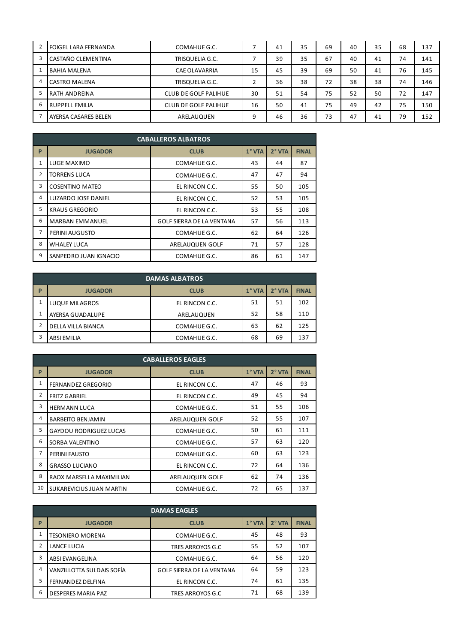|   | <b>FOIGEL LARA FERNANDA</b> | COMAHUE G.C.                |    | 41 | 35 | 69 | 40 | 35 | 68 | 137 |
|---|-----------------------------|-----------------------------|----|----|----|----|----|----|----|-----|
|   | CASTAÑO CLEMENTINA          | TRISQUELIA G.C.             |    | 39 | 35 | 67 | 40 | 41 | 74 | 141 |
|   | <b>BAHIA MALENA</b>         | <b>CAE OLAVARRIA</b>        | 15 | 45 | 39 | 69 | 50 | 41 | 76 | 145 |
|   | <b>CASTRO MALENA</b>        | TRISQUELIA G.C.             |    | 36 | 38 | 72 | 38 | 38 | 74 | 146 |
|   | RATH ANDREINA               | <b>CLUB DE GOLF PALIHUE</b> | 30 | 51 | 54 | 75 | 52 | 50 | 72 | 147 |
| b | RUPPELL EMILIA              | CLUB DE GOLF PALIHUE        | 16 | 50 | 41 | 75 | 49 | 42 | 75 | 150 |
|   | AYERSA CASARES BELEN        | ARELAUQUEN                  | 9  | 46 | 36 | 73 | 47 | 41 | 79 | 152 |

|                | <b>CABALLEROS ALBATROS</b> |                           |        |          |              |  |  |  |  |  |  |
|----------------|----------------------------|---------------------------|--------|----------|--------------|--|--|--|--|--|--|
| P              | <b>JUGADOR</b>             | <b>CLUB</b>               | 1° VTA | $2°$ VTA | <b>FINAL</b> |  |  |  |  |  |  |
| 1              | LUGE MAXIMO                | COMAHUE G.C.              | 43     | 44       | 87           |  |  |  |  |  |  |
| $\overline{2}$ | <b>TORRENS LUCA</b>        | COMAHUE G.C.              | 47     | 47       | 94           |  |  |  |  |  |  |
| 3              | <b>COSENTINO MATEO</b>     | EL RINCON C.C.            | 55     | 50       | 105          |  |  |  |  |  |  |
| 4              | LUZARDO JOSE DANIEL        | EL RINCON C.C.            | 52     | 53       | 105          |  |  |  |  |  |  |
| 5              | <b>KRAUS GREGORIO</b>      | EL RINCON C.C.            | 53     | 55       | 108          |  |  |  |  |  |  |
| 6              | <b>MARBAN EMMANUEL</b>     | GOLF SIERRA DE LA VENTANA | 57     | 56       | 113          |  |  |  |  |  |  |
| 7              | PERINI AUGUSTO             | COMAHUE G.C.              | 62     | 64       | 126          |  |  |  |  |  |  |
| 8              | WHALEY LUCA                | ARELAUQUEN GOLF           | 71     | 57       | 128          |  |  |  |  |  |  |
| 9              | SANPEDRO JUAN IGNACIO      | COMAHUE G.C.              | 86     | 61       | 147          |  |  |  |  |  |  |

|   | <b>DAMAS ALBATROS</b> |                |               |          |              |  |  |  |  |  |  |
|---|-----------------------|----------------|---------------|----------|--------------|--|--|--|--|--|--|
| P | <b>JUGADOR</b>        | <b>CLUB</b>    | $1^\circ$ VTA | $2°$ VTA | <b>FINAL</b> |  |  |  |  |  |  |
|   | <b>LUQUE MILAGROS</b> | EL RINCON C.C. | 51            | 51       | 102          |  |  |  |  |  |  |
| 1 | AYERSA GUADALUPE      | ARELAUQUEN     | 52            | 58       | 110          |  |  |  |  |  |  |
| 2 | DELLA VILLA BIANCA    | COMAHUE G.C.   | 63            | 62       | 125          |  |  |  |  |  |  |
| 3 | <b>ABSI EMILIA</b>    | COMAHUE G.C.   | 68            | 69       | 137          |  |  |  |  |  |  |

| <b>CABALLEROS EAGLES</b> |                               |                 |          |          |              |  |  |  |  |  |
|--------------------------|-------------------------------|-----------------|----------|----------|--------------|--|--|--|--|--|
| P                        | <b>JUGADOR</b>                | <b>CLUB</b>     | $1°$ VTA | $2°$ VTA | <b>FINAL</b> |  |  |  |  |  |
| 1                        | <b>FERNANDEZ GREGORIO</b>     | EL RINCON C.C.  | 47       | 46       | 93           |  |  |  |  |  |
| 2                        | <b>FRITZ GABRIEL</b>          | EL RINCON C.C.  | 49       | 45       | 94           |  |  |  |  |  |
| 3                        | <b>HERMANN LUCA</b>           | COMAHUE G.C.    | 51       | 55       | 106          |  |  |  |  |  |
| 4                        | <b>BARBEITO BENJAMIN</b>      | ARELAUQUEN GOLF | 52       | 55       | 107          |  |  |  |  |  |
| 5                        | <b>GAYDOU RODRIGUEZ LUCAS</b> | COMAHUE G.C.    | 50       | 61       | 111          |  |  |  |  |  |
| 6                        | SORBA VALENTINO               | COMAHUE G.C.    | 57       | 63       | 120          |  |  |  |  |  |
| 7                        | PERINI FAUSTO                 | COMAHUE G.C.    | 60       | 63       | 123          |  |  |  |  |  |
| 8                        | <b>GRASSO LUCIANO</b>         | EL RINCON C.C.  | 72       | 64       | 136          |  |  |  |  |  |
| 8                        | RAOX MARSELLA MAXIMILIAN      | ARELAUQUEN GOLF | 62       | 74       | 136          |  |  |  |  |  |
| 10                       | SUKAREVICIUS JUAN MARTIN      | COMAHUE G.C.    | 72       | 65       | 137          |  |  |  |  |  |

| <b>DAMAS EAGLES</b> |                           |                                  |          |          |              |
|---------------------|---------------------------|----------------------------------|----------|----------|--------------|
| P                   | <b>JUGADOR</b>            | <b>CLUB</b>                      | $1°$ VTA | $2°$ VTA | <b>FINAL</b> |
| 1                   | <b>TESONIERO MORENA</b>   | COMAHUE G.C.                     | 45       | 48       | 93           |
| 2                   | LANCE LUCIA               | TRES ARROYOS G.C                 | 55       | 52       | 107          |
| 3                   | <b>ABSI EVANGELINA</b>    | COMAHUE G.C.                     | 64       | 56       | 120          |
| $\overline{4}$      | VANZILLOTTA SULDAIS SOFÍA | <b>GOLF SIERRA DE LA VENTANA</b> | 64       | 59       | 123          |
| 5                   | <b>FERNANDEZ DELFINA</b>  | EL RINCON C.C.                   | 74       | 61       | 135          |
| 6                   | DESPERES MARIA PAZ        | TRES ARROYOS G.C                 | 71       | 68       | 139          |